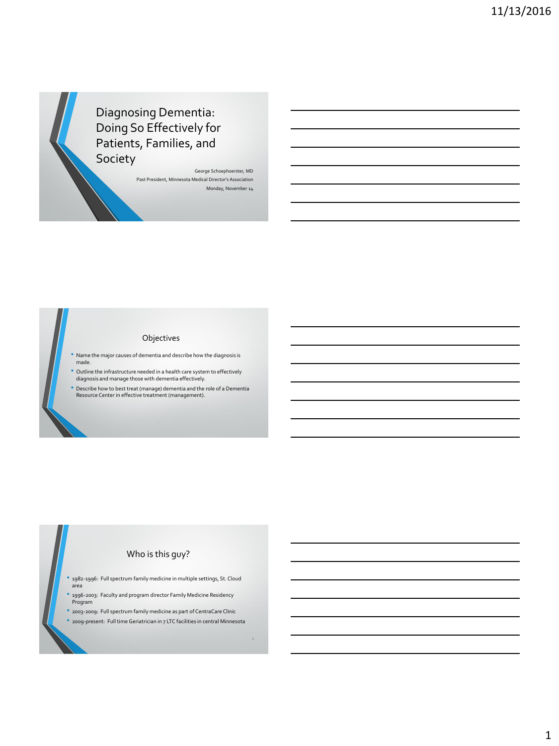Diagnosing Dementia: Doing So Effectively for Patients, Families, and Society

> George Schoephoerster, MD Past President, Minnesota Medical Director's Association Monday, November 14

#### Objectives

- Name the major causes of dementia and describe how the diagnosis is made.
- Outline the infrastructure needed in a health care system to effectively diagnosis and manage those with dementia effectively.
- Describe how to best treat (manage) dementia and the role of a Dementia Resource Center in effective treatment (management).

## Who is this guy?

- 1982-1996: Full spectrum family medicine in multiple settings, St. Cloud area
- 1996-2003: Faculty and program director Family Medicine Residency Program
- 2003-2009: Full spectrum family medicine as part of CentraCare Clinic • 2009-present: Full time Geriatrician in 7 LTC facilities in central Minnesota

3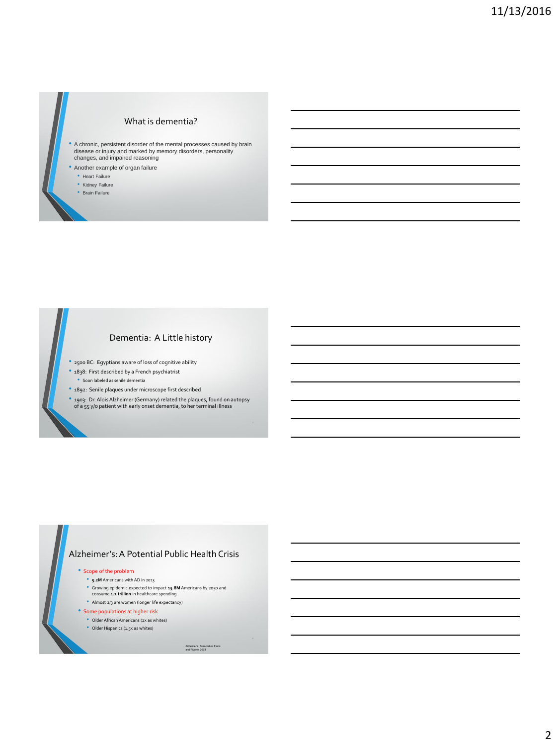### What is dementia?

- A chronic, persistent disorder of the mental processes caused by brain disease or injury and marked by memory disorders, personality changes, and impaired reasoning
- Another example of organ failure
	- Heart Failure
	- Kidney Failure
	- Brain Failure

#### Dementia: A Little history

- 2500 BC: Egyptians aware of loss of cognitive ability
- 1838: First described by a French psychiatrist • Soon labeled as senile dementia
- 1892: Senile plaques under microscope first described
- 1903: Dr. Alois Alzheimer (Germany) related the plaques, found on autopsy of a 55 y/o patient with early onset dementia, to her terminal illness

#### Alzheimer's: A Potential Public Health Crisis

- Scope of the problem
	- **5.2M** Americans with AD in 2013
	- Growing epidemic expected to impact **13.8M** Americans by 2050 and consume **1.1 trillion** in healthcare spending
	- Almost 2/3 are women (longer life expectancy)
- Some populations at higher risk
- Older African Americans (2x as whites)
- Older Hispanics (1.5x as whites)

Alzheimer's Association Facts and Figures 2014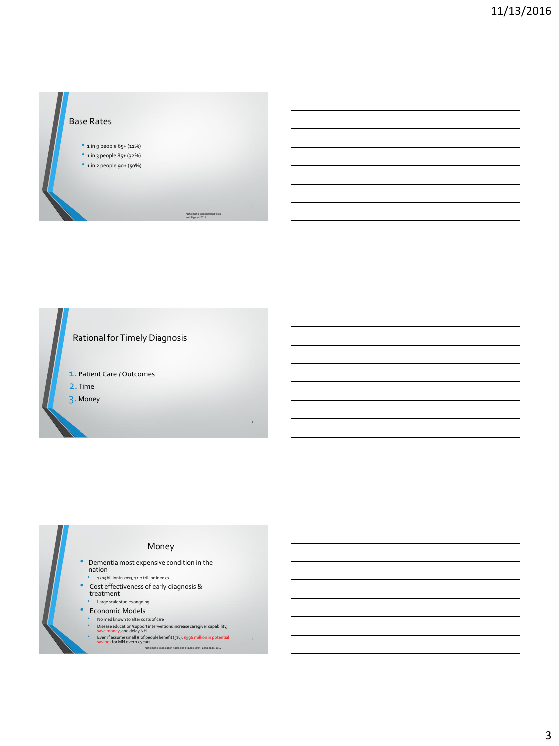### Base Rates

- 1 in 9 people 65+ (11%)
- 1 in 3 people 85+ (32%)
- $\bullet$  1 in 2 people 90+ (50%)

Alzheimer's Association Facts and Figures 2014





- 
- 
- 
- - -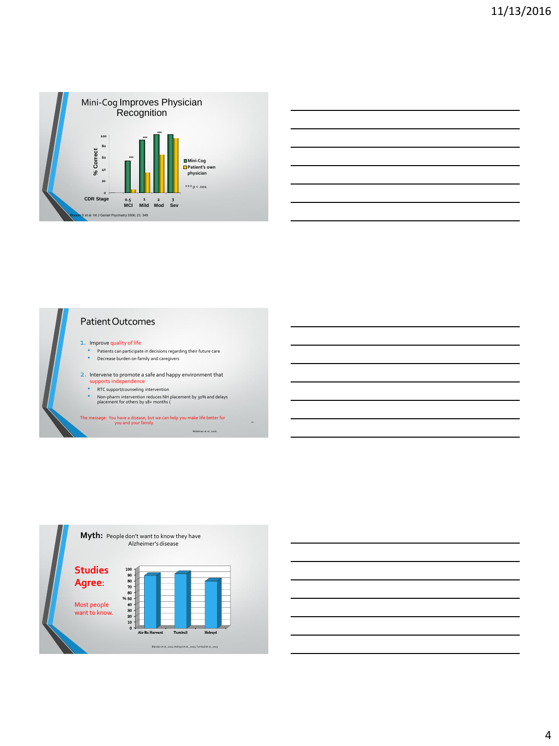

# Patient Outcomes

#### 1. Improve quality of life

- Patients can participate in decisions regarding their future care
- Decrease burden on family and caregivers

2. Intervene to promote a safe and happy environment that

- supports independence • RTC support/counseling intervention
- 
- Non-pharm intervention reduces NH placement by 30% and delays placement for others by 18+ months (

The message: You have a disease, but we can help you make life better for you and your family. <sup>11</sup>

Mittelman et al., 2006



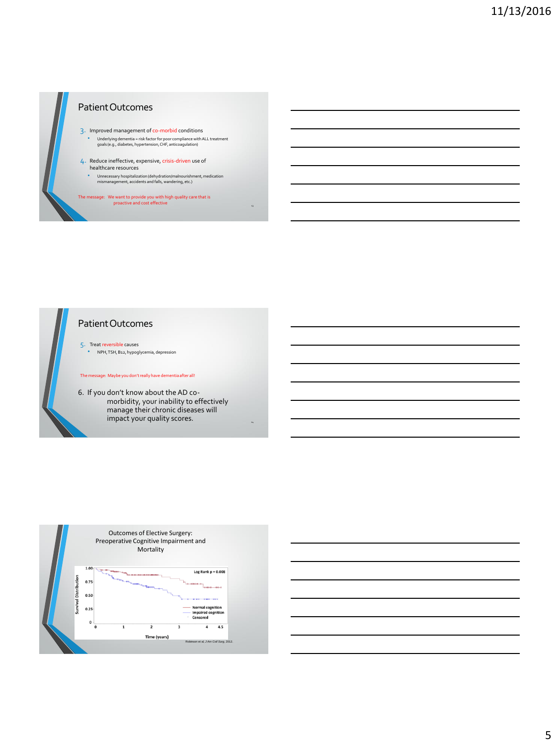

## Patient Outcomes

- 3. Improved management of co-morbid conditions • Underlying dementia = risk factor for poor compliance with ALL treatment goals (e.g., diabetes, hypertension, CHF, anticoagulation)
- 4. Reduce ineffective, expensive, crisis-driven use of healthcare resources
	- Unnecessary hospitalization (dehydration/malnourishment, medication mismanagement, accidents and falls, wandering, etc.)

The message: We want to provide you with high quality care that is proactive and cost effective



### Patient Outcomes

5. Treat reversible causes • NPH, TSH, B12, hypoglycemia, depression

The message: Maybe you don't really have dementia after all!

6. If you don't know about the AD comorbidity, your inability to effectively manage their chronic diseases will impact your quality scores.



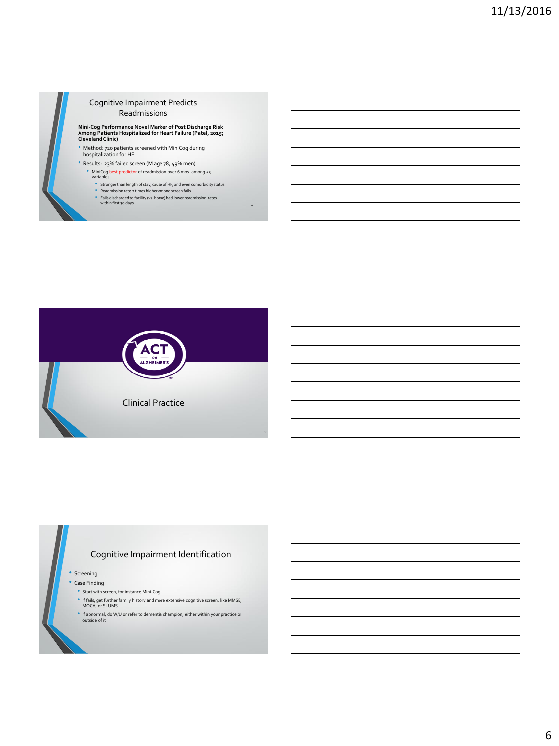

#### Cognitive Impairment Predicts Readmissions

**Mini-Cog Performance Novel Marker of Post Discharge Risk Among Patients Hospitalized for Heart Failure (Patel, 2015; Cleveland Clinic)**

• Method: 720 patients screened with MiniCog during hospitalization for HF

- Results: 23% failed screen (M age 78, 49% men) • MiniCog best predictor of readmission over 6 mos. among 55 variables
	- $\bullet$  Stronger than length of stay, cause of HF, and even comorbidity status
	-
	- Readmission rate 2 times higher among screen fails Fails discharged to facility (vs. home) had lower readmission rates within first 30 days



## Cognitive Impairment Identification

• Screening

- Case Finding
	- Start with screen, for instance Mini-Cog
	- If fails, get further family history and more extensive cognitive screen, like MMSE, MOCA, or SLUMS
	- If abnormal, do W/U or refer to dementia champion, either within your practice or outside of it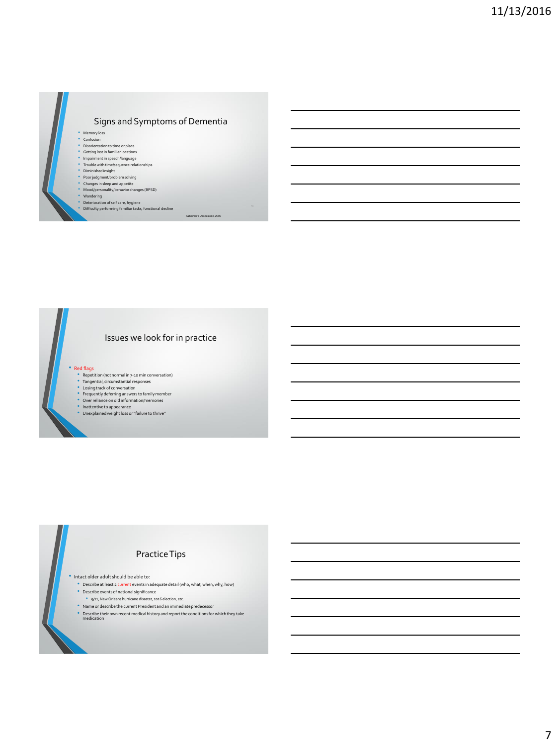## Signs and Symptoms of Dementia

Alzheimer's Association, 2009

- Memory loss • Confusion
	-
- Disorientation to time or place Getting lost in familiar locations
- Impairment in speech/language Trouble with time/sequence relationships
- Diminished insight
- 
- Poor judgment/problem solving Changes in sleep and appetite Mood/personality/behavior changes (BPSD)
- 
- 
- Wandering Deterioration of self care, hygiene Difficulty performing familiar tasks, functional decline

## Issues we look for in practice

• Red flags

- 
- Repetition (not normal in 7-10 min conversation) Tangential, circumstantial responses Losing track of conversation
- 
- Frequently deferring answers to family member Over reliance on old information/memories
- 
- Inattentive to appearance Unexplained weight loss or "failure to thrive"

## Practice Tips

• Intact older adult should be able to:

- Describe at least 2 current events in adequate detail (who, what, when, why, how)
- Describe events of national significance
- 9/11, New Orleans hurricane disaster, 2016 election, etc.
- Name or describe the current President and an immediate predecessor
- $^{\circ}\,$  Describe their own recent medical history and report the conditions for which they take medication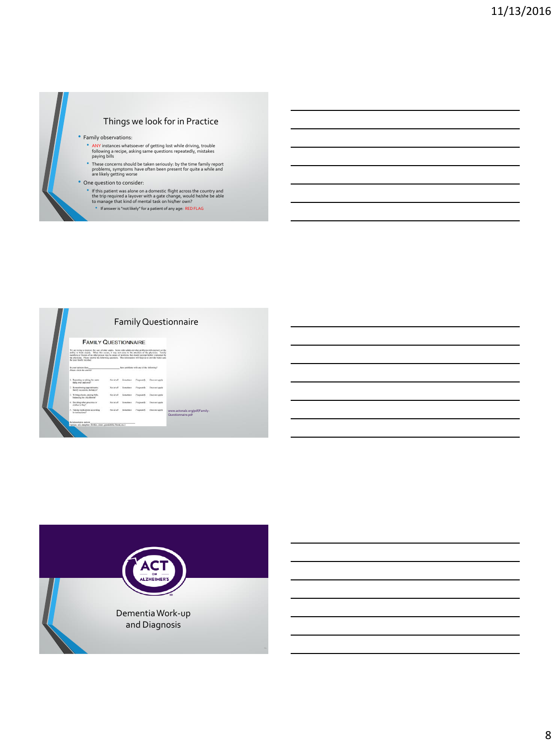

#### • Family observations:

- ANY instances whatsoever of getting lost while driving, trouble following a recipe, asking same questions repeatedly, mistakes paying bills
- These concerns should be taken seriously: by the time family report problems, symptoms have often been present for quite a while and are likely getting worse

#### • One question to consider:

- If this patient was alone on a domestic flight across the country and the trip required a layover with a gate change, would he/she be able to manage that kind of mental task on his/her own?
- If answer is "not likely" for a patient of any age: RED FLAG



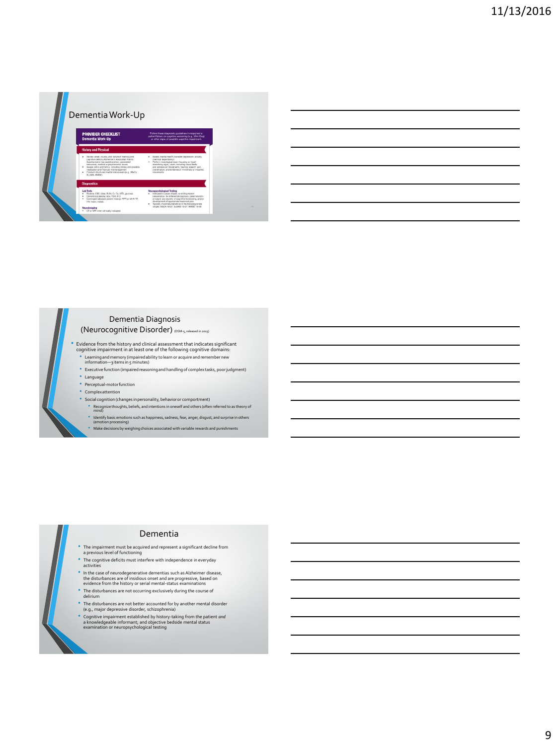

|                                                             |  | <u> 1989 - Andrea Santa Andrea Andrea Andrea Andrea Andrea Andrea Andrea Andrea Andrea Andrea Andrea Andrea Andr</u> |
|-------------------------------------------------------------|--|----------------------------------------------------------------------------------------------------------------------|
|                                                             |  |                                                                                                                      |
|                                                             |  | <u> 1989 - Andrea Santa Andrea Andrea Andrea Andrea Andrea Andrea Andrea Andrea Andrea Andrea Andrea Andrea Andr</u> |
| <u> 1989 - Andrea Branden, amerikansk politik (d. 1989)</u> |  | the control of the control of the                                                                                    |
|                                                             |  |                                                                                                                      |
|                                                             |  |                                                                                                                      |

## Dementia Diagnosis

(Neurocognitive Disorder) (DSM-5, released in 2013)

- Evidence from the history and clinical assessment that indicates significant cognitive impairment in at least one of the following cognitive domains: • Learning and memory (impaired ability to learn or acquire and remember new information—3 items in 5 minutes)
	- Executive function (impaired reasoning and handling of complex tasks, poor judgment) • Language
	- Perceptual-motor function
	- Complex attention
	-
	- Social cognition (changes in personality, behavior or comportment) Recognize thoughts, beliefs, and intentions in oneself and others (often referred to as theory of mind)
		-
		- Identify basic emotions such as happiness, sadness, fear, anger, disgust, and surprise in others (emotion processing)  $\bullet$  Make decisions by weighing choices associated with variable rewards and punishments



#### Dementia

- The impairment must be acquired and represent a significant decline from a previous level of functioning
- 
- The cognitive deficits must interfere with independence in everyday activities
- In the case of neurodegenerative dementias such as Alzheimer disease, the disturbances are of insidious onset and are progressive, based on evidence from the history or serial mental-status examinations
- The disturbances are not occurring exclusively during the course of delirium
- 
- The disturbances are not better accounted for by another mental disorder (e.g., major depressive disorder, schizophrenia)
- Cognitive impairment established by history-taking from the patient *and* a knowledgeable informant; and objective bedside mental status examination or neuropsychological testing
	-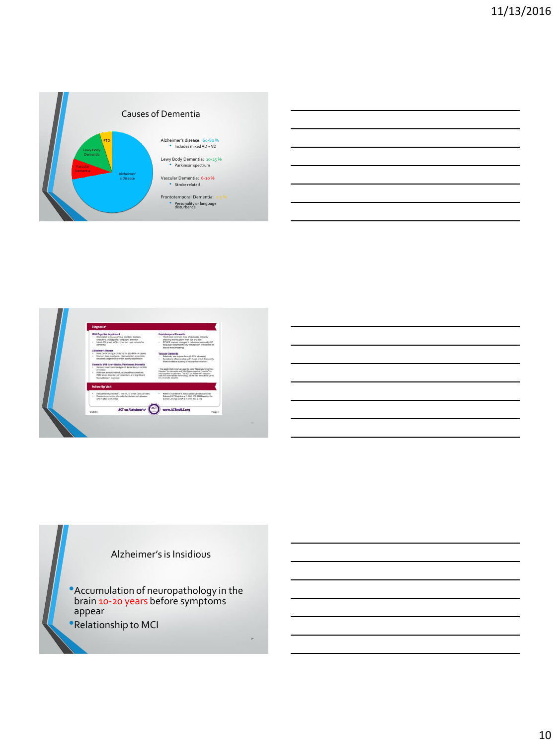



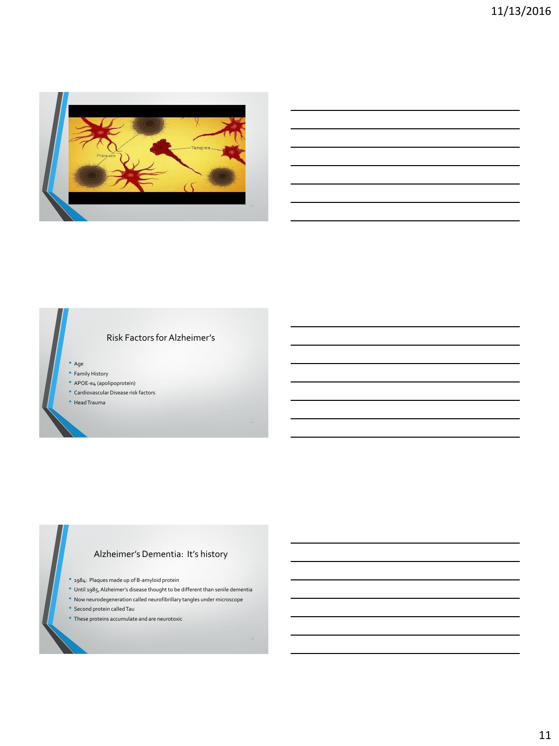

## Risk Factors for Alzheimer's

• Age

- Family History
- APOE-e4 (apolipoprotein)
- Cardiovascular Disease risk factors

• Head Trauma

## Alzheimer's Dementia: It's history

- 1984: Plaques made up of B-amyloid protein
- Until 1985, Alzheimer's disease thought to be different than senile dementia
- Now neurodegeneration called neurofibrillary tangles under microscope
- Second protein called Tau
- These proteins accumulate and are neurotoxic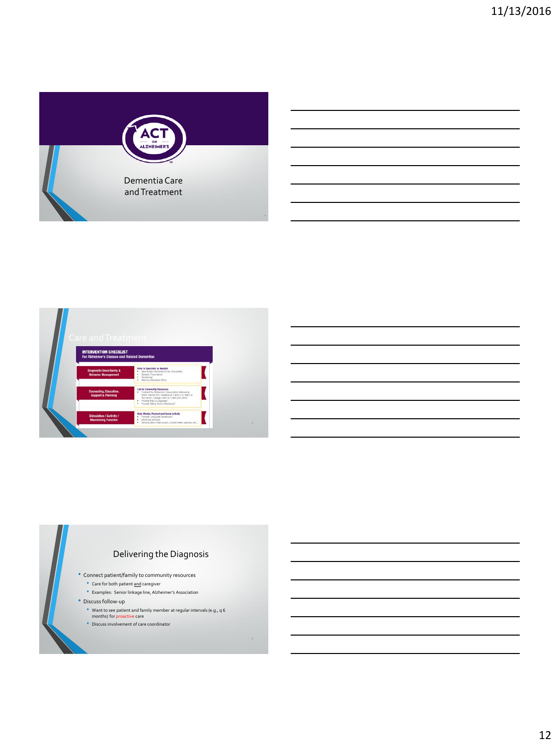



## Delivering the Diagnosis

- Connect patient/family to community resources
	- Care for both patient and caregiver
	- Examples: Senior linkage line, Alzheimer's Association
- Discuss follow-up
	- Want to see patient and family member at regular intervals (e.g., q 6 months) for proactive care
	- Discuss involvement of care coordinator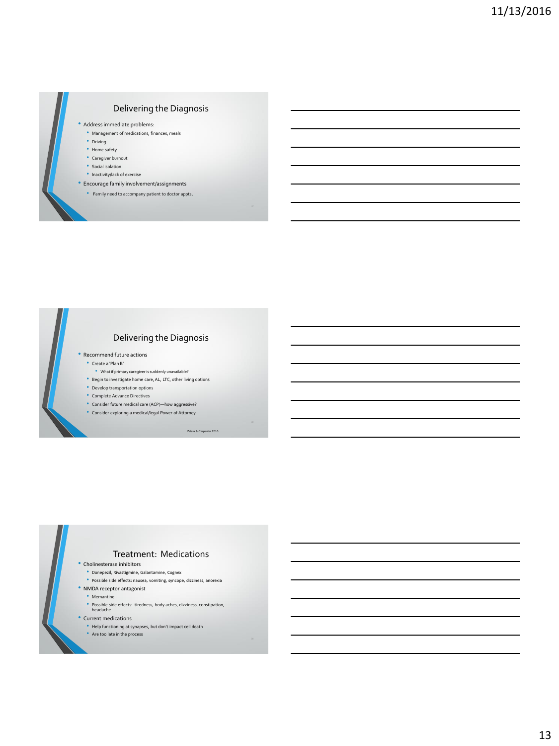## Delivering the Diagnosis

• Address immediate problems:

- Management of medications, finances, meals
- Driving
- Home safety
- Caregiver burnout
- Social isolation
- Inactivity/lack of exercise
- Encourage family involvement/assignments
	- Family need to accompany patient to doctor appts.



## Delivering the Diagnosis

- Recommend future actions
	- Create a 'Plan B'
	- What if primary caregiver is suddenly unavailable?
	- Begin to investigate home care, AL, LTC, other living options
	- Develop transportation options
	- Complete Advance Directives
	- Consider future medical care (ACP)—how aggressive?
	- Consider exploring a medical/legal Power of Attorney

Zaleta & Ca

#### Treatment: Medications

- Cholinesterase inhibitors
	- Donepezil, Rivastigmine, Galantamine, Cognex
	- Possible side effects: nausea, vomiting, syncope, dizziness, anorexia
- NMDA receptor antagonist
- Memantine
- Possible side effects: tiredness, body aches, dizziness, constipation, headache
- 
- Current medications
	- Help functioning at synapses, but don't impact cell death Are too late in the process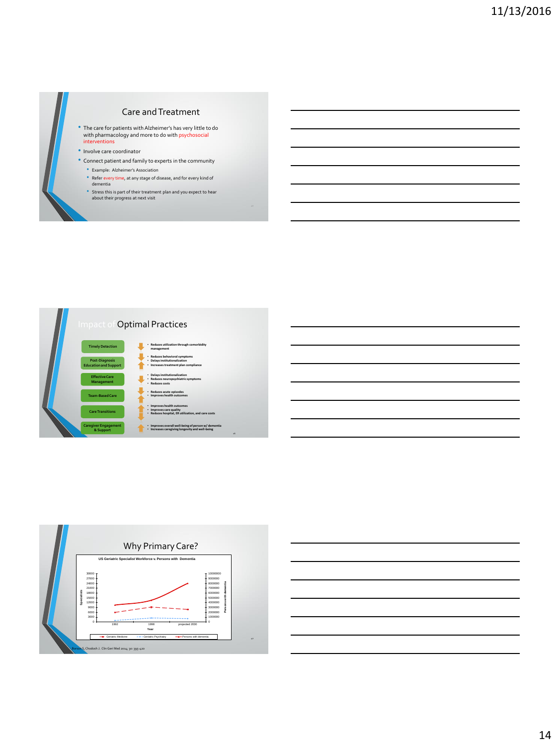

### Care and Treatment

- The care for patients with Alzheimer's has very little to do with pharmacology and more to do with psychosocial interventions
- Involve care coordinator
- Connect patient and family to experts in the community
	-
	- Example: Alzheimer's Association Refer every time, at any stage of disease, and for every kind of dementia
	- Stress this is part of their treatment plan and you expect to hear about their progress at next visit





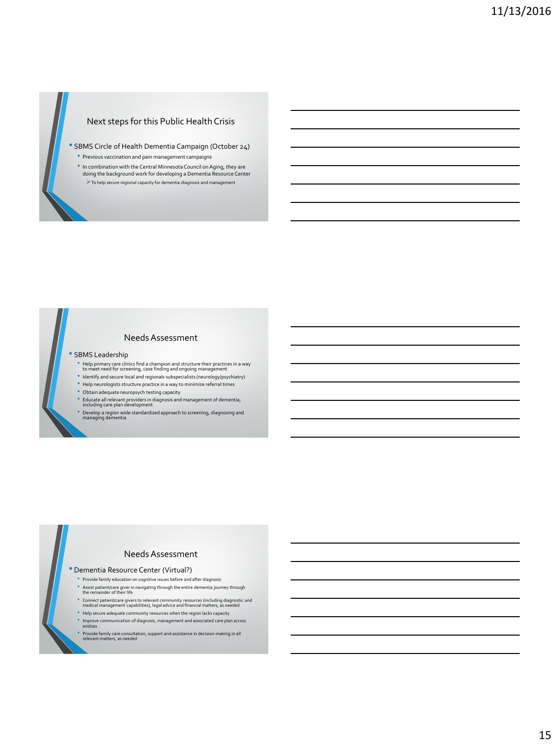## Next steps for this Public Health Crisis

• SBMS Circle of Health Dementia Campaign (October 24)

- Previous vaccination and pain management campaigns
- In combination with the Central Minnesota Council on Aging, they are doing the background work for developing a Dementia Resource Center To help secure regional capacity for dementia diagnosis and management

### Needs Assessment

#### • SBMS Leadership

- Unlet primary care clinics find a champion and structure their practices in a way<br>to meet need for screening, case finding and ongoing management<br>If dentify and secure local and regionals subspecialists (neurology/psychiat
- 
- Help neurologists structure practice in a way to minimize referral times
- Obtain adequate neuropsych testing capacity
- Educate all relevant providers in diagnosis and management of dementia, including care plan development
- 
- Develop a region wide standardized approach to screening, diagnosing and managing dementia

#### Needs Assessment

#### • Dementia Resource Center (Virtual?)

- Provide family education on cognitive issues before and after diagnosis
- Assist patient/care giver in navigating through the entire dementia journey through the remainder of their life
- Connect patient/care givers to relevant community resources (including diagnostic and medical management capabilities), legal advice and financial matters, as needed
- Help secure adequate community resources when the region lacks capacity
- 
- Improve communication of diagnosis, management and associated care plan across entities
- Provide family care consultation, support and assistance in decision-making in all relevant matters, as needed